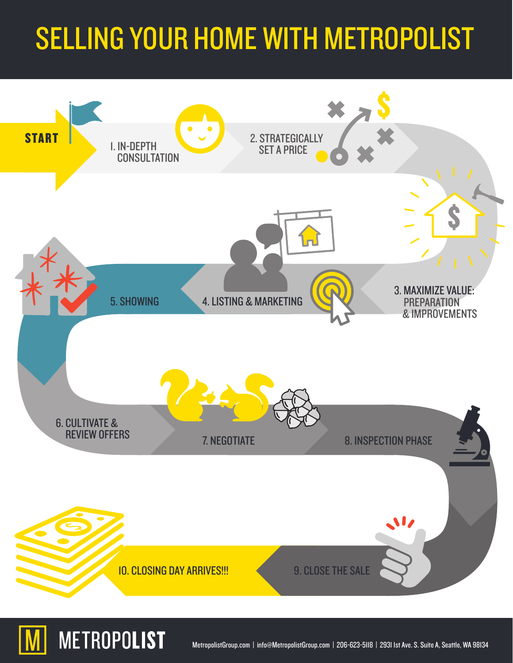# SELLING YOUR HOME WITH METROPOLIST



**METROPOLIST**